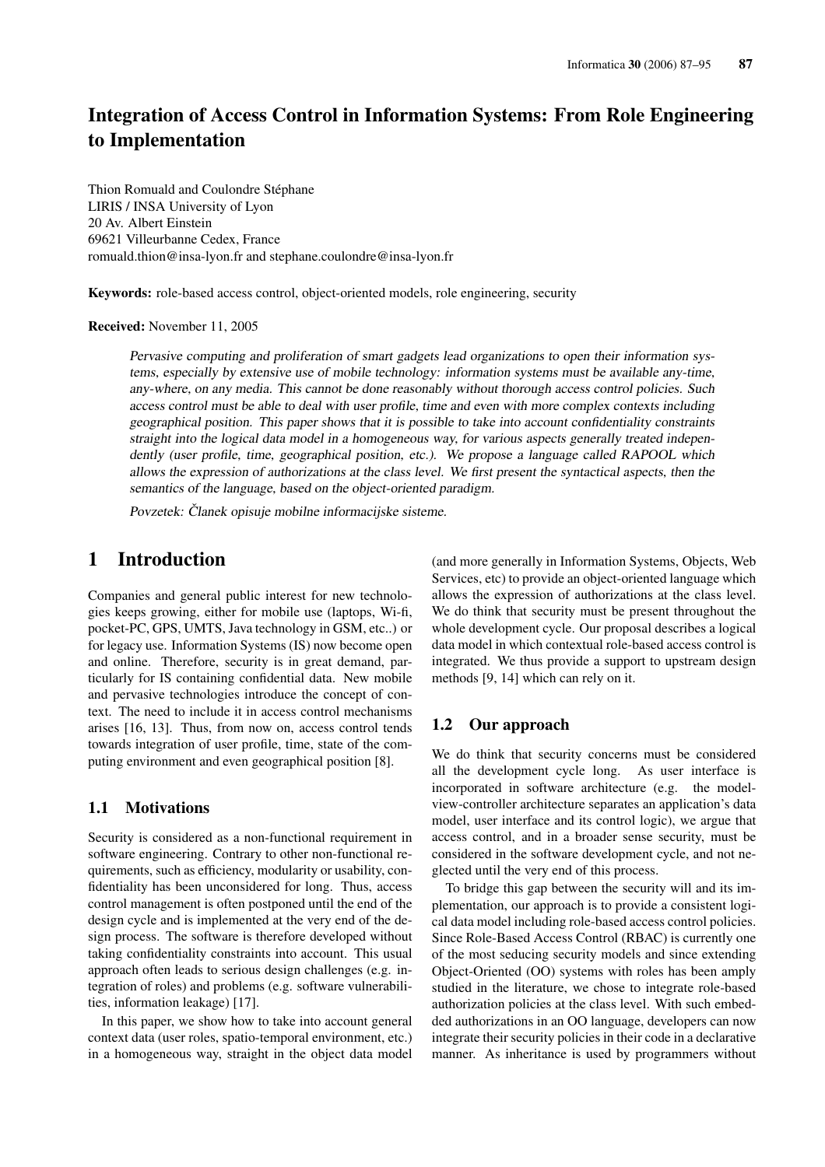# Integration of Access Control in Information Systems: From Role Engineering to Implementation

Thion Romuald and Coulondre Stéphane LIRIS / INSA University of Lyon 20 Av. Albert Einstein 69621 Villeurbanne Cedex, France romuald.thion@insa-lyon.fr and stephane.coulondre@insa-lyon.fr

Keywords: role-based access control, object-oriented models, role engineering, security

Received: November 11, 2005

Pervasive computing and proliferation of smart gadgets lead organizations to open their information systems, especially by extensive use of mobile technology: information systems must be available any-time, any-where, on any media. This cannot be done reasonably without thorough access control policies. Such access control must be able to deal with user profile, time and even with more complex contexts including geographical position. This paper shows that it is possible to take into account confidentiality constraints straight into the logical data model in a homogeneous way, for various aspects generally treated independently (user profile, time, geographical position, etc.). We propose a language called RAPOOL which allows the expression of authorizations at the class level. We first present the syntactical aspects, then the semantics of the language, based on the object-oriented paradigm.

Povzetek: Članek opisuje mobilne informacijske sisteme.

# 1 Introduction

Companies and general public interest for new technologies keeps growing, either for mobile use (laptops, Wi-fi, pocket-PC, GPS, UMTS, Java technology in GSM, etc..) or for legacy use. Information Systems (IS) now become open and online. Therefore, security is in great demand, particularly for IS containing confidential data. New mobile and pervasive technologies introduce the concept of context. The need to include it in access control mechanisms arises [16, 13]. Thus, from now on, access control tends towards integration of user profile, time, state of the computing environment and even geographical position [8].

#### 1.1 Motivations

Security is considered as a non-functional requirement in software engineering. Contrary to other non-functional requirements, such as efficiency, modularity or usability, confidentiality has been unconsidered for long. Thus, access control management is often postponed until the end of the design cycle and is implemented at the very end of the design process. The software is therefore developed without taking confidentiality constraints into account. This usual approach often leads to serious design challenges (e.g. integration of roles) and problems (e.g. software vulnerabilities, information leakage) [17].

In this paper, we show how to take into account general context data (user roles, spatio-temporal environment, etc.) in a homogeneous way, straight in the object data model (and more generally in Information Systems, Objects, Web Services, etc) to provide an object-oriented language which allows the expression of authorizations at the class level. We do think that security must be present throughout the whole development cycle. Our proposal describes a logical data model in which contextual role-based access control is integrated. We thus provide a support to upstream design methods [9, 14] which can rely on it.

#### 1.2 Our approach

We do think that security concerns must be considered all the development cycle long. As user interface is incorporated in software architecture (e.g. the modelview-controller architecture separates an application's data model, user interface and its control logic), we argue that access control, and in a broader sense security, must be considered in the software development cycle, and not neglected until the very end of this process.

To bridge this gap between the security will and its implementation, our approach is to provide a consistent logical data model including role-based access control policies. Since Role-Based Access Control (RBAC) is currently one of the most seducing security models and since extending Object-Oriented (OO) systems with roles has been amply studied in the literature, we chose to integrate role-based authorization policies at the class level. With such embedded authorizations in an OO language, developers can now integrate their security policies in their code in a declarative manner. As inheritance is used by programmers without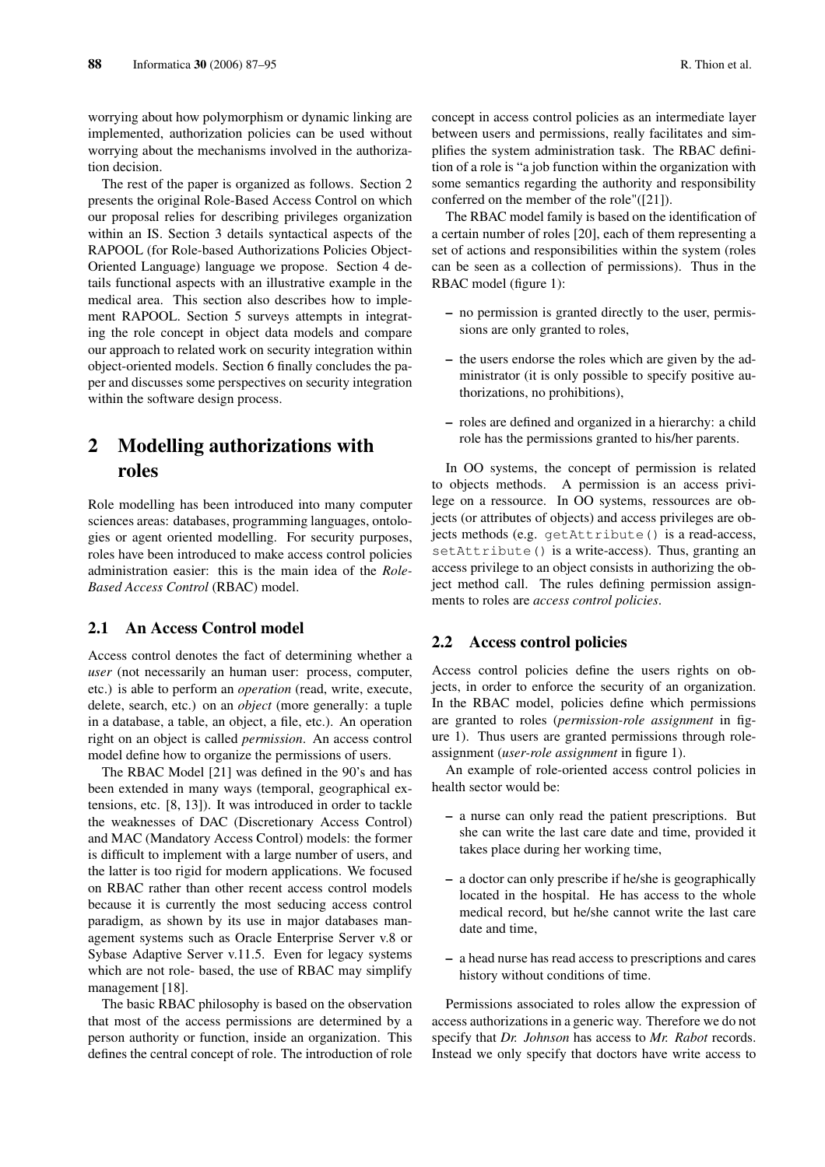worrying about how polymorphism or dynamic linking are implemented, authorization policies can be used without worrying about the mechanisms involved in the authorization decision.

The rest of the paper is organized as follows. Section 2 presents the original Role-Based Access Control on which our proposal relies for describing privileges organization within an IS. Section 3 details syntactical aspects of the RAPOOL (for Role-based Authorizations Policies Object-Oriented Language) language we propose. Section 4 details functional aspects with an illustrative example in the medical area. This section also describes how to implement RAPOOL. Section 5 surveys attempts in integrating the role concept in object data models and compare our approach to related work on security integration within object-oriented models. Section 6 finally concludes the paper and discusses some perspectives on security integration within the software design process.

# 2 Modelling authorizations with roles

Role modelling has been introduced into many computer sciences areas: databases, programming languages, ontologies or agent oriented modelling. For security purposes, roles have been introduced to make access control policies administration easier: this is the main idea of the *Role-Based Access Control* (RBAC) model.

#### 2.1 An Access Control model

Access control denotes the fact of determining whether a *user* (not necessarily an human user: process, computer, etc.) is able to perform an *operation* (read, write, execute, delete, search, etc.) on an *object* (more generally: a tuple in a database, a table, an object, a file, etc.). An operation right on an object is called *permission*. An access control model define how to organize the permissions of users.

The RBAC Model [21] was defined in the 90's and has been extended in many ways (temporal, geographical extensions, etc. [8, 13]). It was introduced in order to tackle the weaknesses of DAC (Discretionary Access Control) and MAC (Mandatory Access Control) models: the former is difficult to implement with a large number of users, and the latter is too rigid for modern applications. We focused on RBAC rather than other recent access control models because it is currently the most seducing access control paradigm, as shown by its use in major databases management systems such as Oracle Enterprise Server v.8 or Sybase Adaptive Server v.11.5. Even for legacy systems which are not role- based, the use of RBAC may simplify management [18].

The basic RBAC philosophy is based on the observation that most of the access permissions are determined by a person authority or function, inside an organization. This defines the central concept of role. The introduction of role

concept in access control policies as an intermediate layer between users and permissions, really facilitates and simplifies the system administration task. The RBAC definition of a role is "a job function within the organization with some semantics regarding the authority and responsibility conferred on the member of the role"([21]).

The RBAC model family is based on the identification of a certain number of roles [20], each of them representing a set of actions and responsibilities within the system (roles can be seen as a collection of permissions). Thus in the RBAC model (figure 1):

- no permission is granted directly to the user, permissions are only granted to roles,
- the users endorse the roles which are given by the administrator (it is only possible to specify positive authorizations, no prohibitions),
- roles are defined and organized in a hierarchy: a child role has the permissions granted to his/her parents.

In OO systems, the concept of permission is related to objects methods. A permission is an access privilege on a ressource. In OO systems, ressources are objects (or attributes of objects) and access privileges are objects methods (e.g. getAttribute() is a read-access, setAttribute() is a write-access). Thus, granting an access privilege to an object consists in authorizing the object method call. The rules defining permission assignments to roles are *access control policies*.

#### 2.2 Access control policies

Access control policies define the users rights on objects, in order to enforce the security of an organization. In the RBAC model, policies define which permissions are granted to roles (*permission-role assignment* in figure 1). Thus users are granted permissions through roleassignment (*user-role assignment* in figure 1).

An example of role-oriented access control policies in health sector would be:

- a nurse can only read the patient prescriptions. But she can write the last care date and time, provided it takes place during her working time,
- a doctor can only prescribe if he/she is geographically located in the hospital. He has access to the whole medical record, but he/she cannot write the last care date and time,
- a head nurse has read access to prescriptions and cares history without conditions of time.

Permissions associated to roles allow the expression of access authorizations in a generic way. Therefore we do not specify that *Dr. Johnson* has access to *Mr. Rabot* records. Instead we only specify that doctors have write access to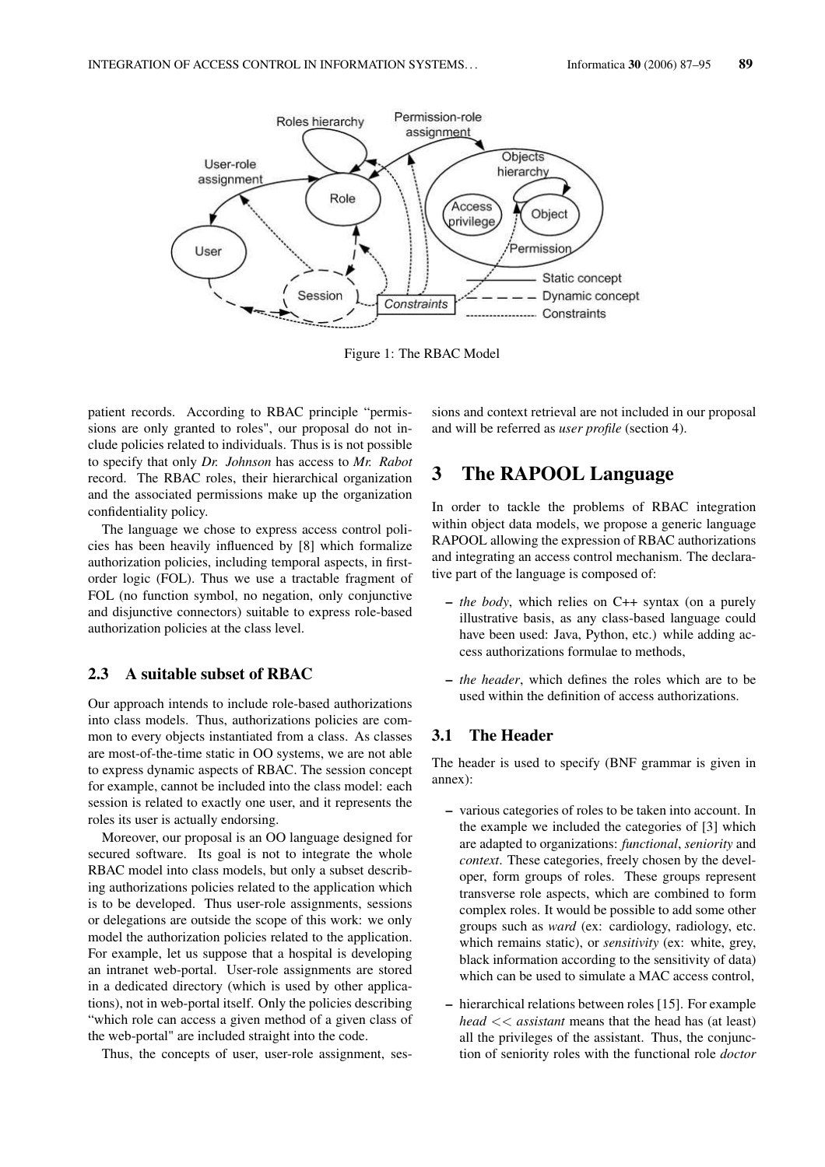

Figure 1: The RBAC Model

patient records. According to RBAC principle "permissions are only granted to roles", our proposal do not include policies related to individuals. Thus is is not possible to specify that only *Dr. Johnson* has access to *Mr. Rabot* record. The RBAC roles, their hierarchical organization and the associated permissions make up the organization confidentiality policy.

The language we chose to express access control policies has been heavily influenced by [8] which formalize authorization policies, including temporal aspects, in firstorder logic (FOL). Thus we use a tractable fragment of FOL (no function symbol, no negation, only conjunctive and disjunctive connectors) suitable to express role-based authorization policies at the class level.

#### 2.3 A suitable subset of RBAC

Our approach intends to include role-based authorizations into class models. Thus, authorizations policies are common to every objects instantiated from a class. As classes are most-of-the-time static in OO systems, we are not able to express dynamic aspects of RBAC. The session concept for example, cannot be included into the class model: each session is related to exactly one user, and it represents the roles its user is actually endorsing.

Moreover, our proposal is an OO language designed for secured software. Its goal is not to integrate the whole RBAC model into class models, but only a subset describing authorizations policies related to the application which is to be developed. Thus user-role assignments, sessions or delegations are outside the scope of this work: we only model the authorization policies related to the application. For example, let us suppose that a hospital is developing an intranet web-portal. User-role assignments are stored in a dedicated directory (which is used by other applications), not in web-portal itself. Only the policies describing "which role can access a given method of a given class of the web-portal" are included straight into the code.

Thus, the concepts of user, user-role assignment, ses-

sions and context retrieval are not included in our proposal and will be referred as *user profile* (section 4).

## 3 The RAPOOL Language

In order to tackle the problems of RBAC integration within object data models, we propose a generic language RAPOOL allowing the expression of RBAC authorizations and integrating an access control mechanism. The declarative part of the language is composed of:

- *the body*, which relies on C++ syntax (on a purely illustrative basis, as any class-based language could have been used: Java, Python, etc.) while adding access authorizations formulae to methods,
- *the header*, which defines the roles which are to be used within the definition of access authorizations.

#### 3.1 The Header

The header is used to specify (BNF grammar is given in annex):

- various categories of roles to be taken into account. In the example we included the categories of [3] which are adapted to organizations: *functional*, *seniority* and *context*. These categories, freely chosen by the developer, form groups of roles. These groups represent transverse role aspects, which are combined to form complex roles. It would be possible to add some other groups such as *ward* (ex: cardiology, radiology, etc. which remains static), or *sensitivity* (ex: white, grey, black information according to the sensitivity of data) which can be used to simulate a MAC access control,
- hierarchical relations between roles [15]. For example *head* << *assistant* means that the head has (at least) all the privileges of the assistant. Thus, the conjunction of seniority roles with the functional role *doctor*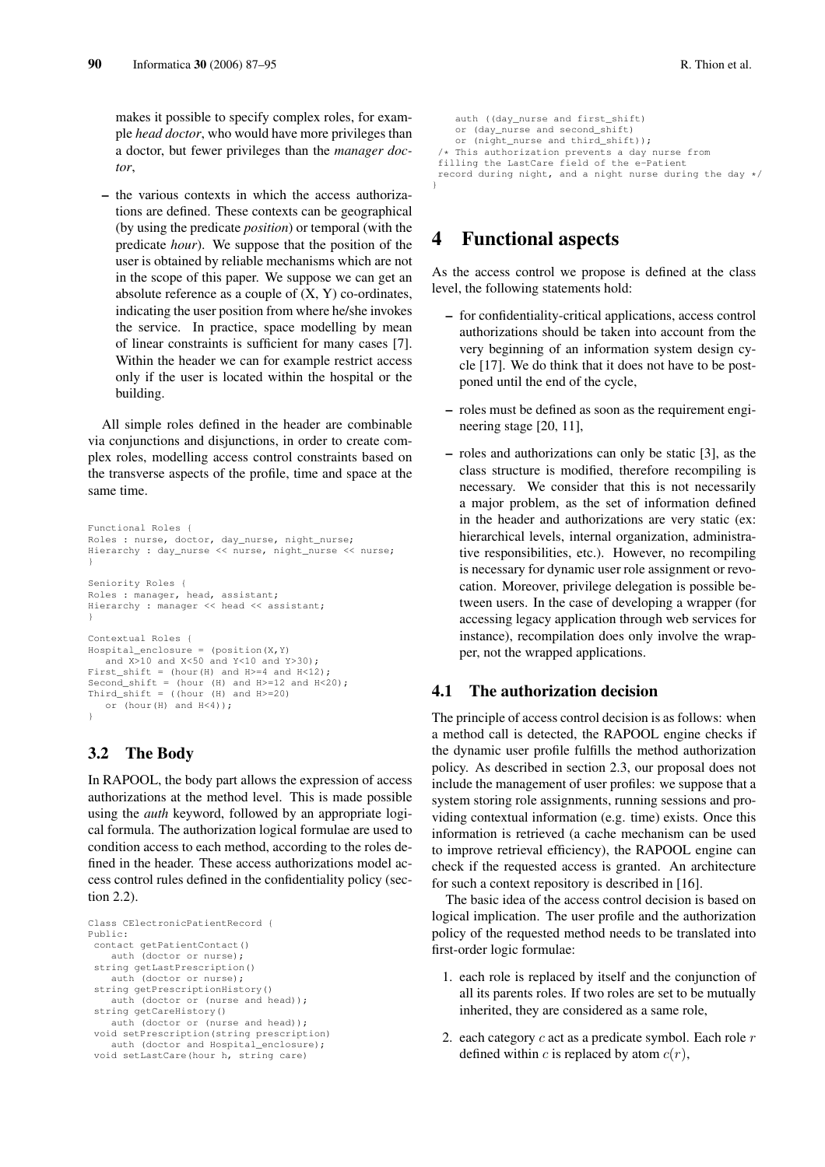makes it possible to specify complex roles, for example *head doctor*, who would have more privileges than a doctor, but fewer privileges than the *manager doctor*,

– the various contexts in which the access authorizations are defined. These contexts can be geographical (by using the predicate *position*) or temporal (with the predicate *hour*). We suppose that the position of the user is obtained by reliable mechanisms which are not in the scope of this paper. We suppose we can get an absolute reference as a couple of  $(X, Y)$  co-ordinates, indicating the user position from where he/she invokes the service. In practice, space modelling by mean of linear constraints is sufficient for many cases [7]. Within the header we can for example restrict access only if the user is located within the hospital or the building.

All simple roles defined in the header are combinable via conjunctions and disjunctions, in order to create complex roles, modelling access control constraints based on the transverse aspects of the profile, time and space at the same time.

```
Functional Roles {
Roles : nurse, doctor, day_nurse, night_nurse;
Hierarchy : day_nurse << nurse, night_nurse << nurse;
}
Seniority Roles {
Roles : manager, head, assistant;
Hierarchy : manager << head << assistant;
}
Contextual Roles {
Hospital\_enclosure = (position(X, Y)and X>10 and X<50 and Y<10 and Y>30);
First_shift = (hour(H) and H>=4 and H<12);
Second_shift = (hour (H) and H>=12 and H<20);
Third_shift = ((hour (H) and H>=20))or (hour(H) and H<4));
}
```
### 3.2 The Body

In RAPOOL, the body part allows the expression of access authorizations at the method level. This is made possible using the *auth* keyword, followed by an appropriate logical formula. The authorization logical formulae are used to condition access to each method, according to the roles defined in the header. These access authorizations model access control rules defined in the confidentiality policy (section 2.2).

```
Class CElectronicPatientRecord {
Public:
contact getPatientContact()
   auth (doctor or nurse);
string getLastPrescription()
   auth (doctor or nurse);
string getPrescriptionHistory()
   auth (doctor or (nurse and head));
string getCareHistory()
   auth (doctor or (nurse and head));
void setPrescription(string prescription)
   auth (doctor and Hospital_enclosure);
void setLastCare(hour h, string care)
```

```
auth ((day nurse and first shift)
    or (day_nurse and second_shift)
    or (night nurse and third shift));
 /* This authorization prevents a day nurse from
 filling the LastCare field of the e-Patient
record during night, and a night nurse during the day */
}
```
# 4 Functional aspects

As the access control we propose is defined at the class level, the following statements hold:

- for confidentiality-critical applications, access control authorizations should be taken into account from the very beginning of an information system design cycle [17]. We do think that it does not have to be postponed until the end of the cycle,
- roles must be defined as soon as the requirement engineering stage [20, 11],
- roles and authorizations can only be static [3], as the class structure is modified, therefore recompiling is necessary. We consider that this is not necessarily a major problem, as the set of information defined in the header and authorizations are very static (ex: hierarchical levels, internal organization, administrative responsibilities, etc.). However, no recompiling is necessary for dynamic user role assignment or revocation. Moreover, privilege delegation is possible between users. In the case of developing a wrapper (for accessing legacy application through web services for instance), recompilation does only involve the wrapper, not the wrapped applications.

### 4.1 The authorization decision

The principle of access control decision is as follows: when a method call is detected, the RAPOOL engine checks if the dynamic user profile fulfills the method authorization policy. As described in section 2.3, our proposal does not include the management of user profiles: we suppose that a system storing role assignments, running sessions and providing contextual information (e.g. time) exists. Once this information is retrieved (a cache mechanism can be used to improve retrieval efficiency), the RAPOOL engine can check if the requested access is granted. An architecture for such a context repository is described in [16].

The basic idea of the access control decision is based on logical implication. The user profile and the authorization policy of the requested method needs to be translated into first-order logic formulae:

- 1. each role is replaced by itself and the conjunction of all its parents roles. If two roles are set to be mutually inherited, they are considered as a same role,
- 2. each category  $c$  act as a predicate symbol. Each role  $r$ defined within c is replaced by atom  $c(r)$ ,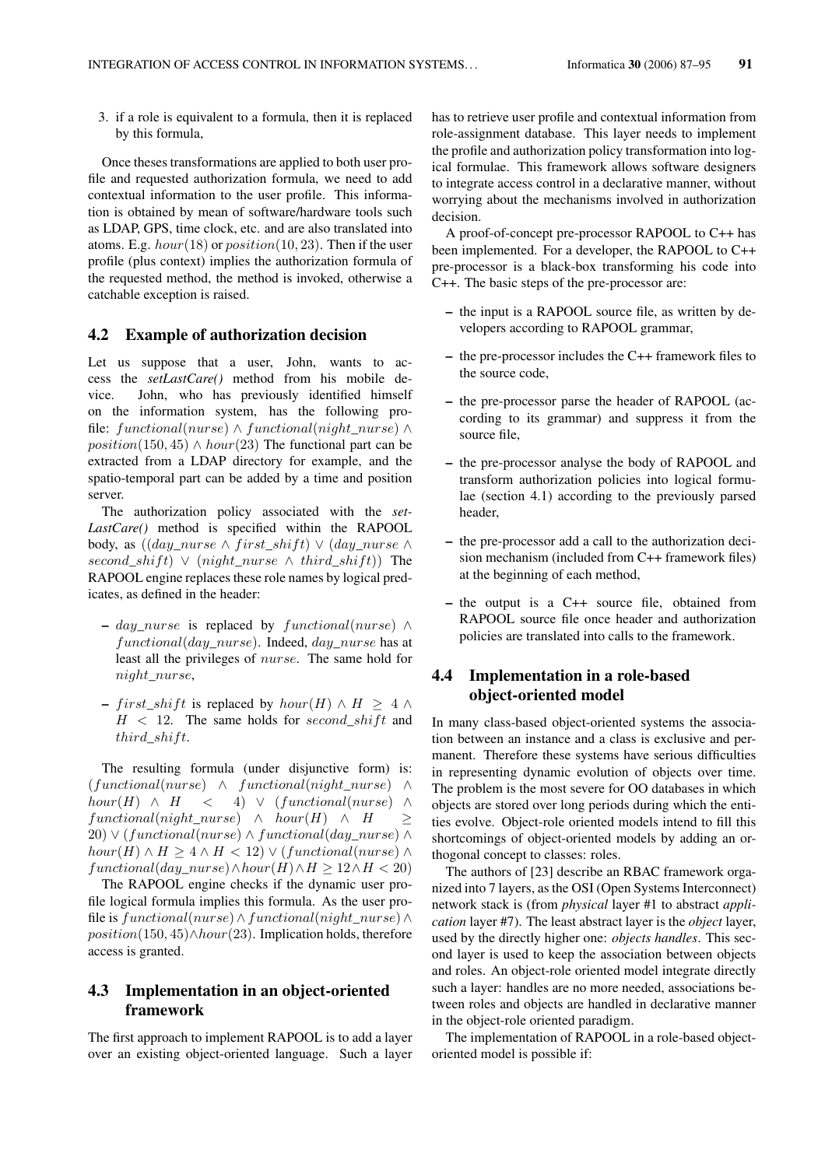3. if a role is equivalent to a formula, then it is replaced by this formula,

Once theses transformations are applied to both user profile and requested authorization formula, we need to add contextual information to the user profile. This information is obtained by mean of software/hardware tools such as LDAP, GPS, time clock, etc. and are also translated into atoms. E.g.  $hour(18)$  or  $position(10, 23)$ . Then if the user profile (plus context) implies the authorization formula of the requested method, the method is invoked, otherwise a catchable exception is raised.

#### 4.2 Example of authorization decision

Let us suppose that a user, John, wants to access the *setLastCare()* method from his mobile device. John, who has previously identified himself on the information system, has the following profile: functional(nurse) ∧ functional(night\_nurse) ∧  $position(150, 45) \wedge hour(23)$  The functional part can be extracted from a LDAP directory for example, and the spatio-temporal part can be added by a time and position server.

The authorization policy associated with the *set-LastCare()* method is specified within the RAPOOL body, as  $((day\,\,nurse \wedge first\,\,shift) \vee (day\,\,nurse \wedge$ second\_shift)  $\vee$  (night\_nurse  $\wedge$  third\_shift)) The RAPOOL engine replaces these role names by logical predicates, as defined in the header:

- day nurse is replaced by functional(nurse)  $\land$ functional(day\_nurse). Indeed, day\_nurse has at least all the privileges of nurse. The same hold for night\_nurse,
- first\_shift is replaced by  $hour(H) \wedge H \geq 4 \wedge$  $H < 12$ . The same holds for second\_shift and third shift.

The resulting formula (under disjunctive form) is: (functional(nurse) ∧ functional(night\_nurse) ∧  $hour(H) \wedge H \leq 4) \vee (functional(nurse) \wedge$  $functional(night\_nurse) \land hour(H) \land H \geq$  $20) \vee (functional(nurse) \wedge functional(day\_nurse) \wedge$  $hour(H) \wedge H > 4 \wedge H < 12) \vee (functional(nurse) \wedge$  $functional(day\_nurse) \wedge hour(H) \wedge H \geq 12 \wedge H < 20$ 

The RAPOOL engine checks if the dynamic user profile logical formula implies this formula. As the user profile is functional(nurse)∧functional(night\_nurse)∧  $position(150, 45) \wedge hour(23)$ . Implication holds, therefore access is granted.

### 4.3 Implementation in an object-oriented framework

The first approach to implement RAPOOL is to add a layer over an existing object-oriented language. Such a layer

has to retrieve user profile and contextual information from role-assignment database. This layer needs to implement the profile and authorization policy transformation into logical formulae. This framework allows software designers to integrate access control in a declarative manner, without worrying about the mechanisms involved in authorization decision.

A proof-of-concept pre-processor RAPOOL to C++ has been implemented. For a developer, the RAPOOL to C++ pre-processor is a black-box transforming his code into C++. The basic steps of the pre-processor are:

- the input is a RAPOOL source file, as written by developers according to RAPOOL grammar,
- the pre-processor includes the C++ framework files to the source code,
- the pre-processor parse the header of RAPOOL (according to its grammar) and suppress it from the source file,
- the pre-processor analyse the body of RAPOOL and transform authorization policies into logical formulae (section 4.1) according to the previously parsed header,
- the pre-processor add a call to the authorization decision mechanism (included from C++ framework files) at the beginning of each method,
- the output is a C++ source file, obtained from RAPOOL source file once header and authorization policies are translated into calls to the framework.

### 4.4 Implementation in a role-based object-oriented model

In many class-based object-oriented systems the association between an instance and a class is exclusive and permanent. Therefore these systems have serious difficulties in representing dynamic evolution of objects over time. The problem is the most severe for OO databases in which objects are stored over long periods during which the entities evolve. Object-role oriented models intend to fill this shortcomings of object-oriented models by adding an orthogonal concept to classes: roles.

The authors of [23] describe an RBAC framework organized into 7 layers, as the OSI (Open Systems Interconnect) network stack is (from *physical* layer #1 to abstract *application* layer #7). The least abstract layer is the *object* layer, used by the directly higher one: *objects handles*. This second layer is used to keep the association between objects and roles. An object-role oriented model integrate directly such a layer: handles are no more needed, associations between roles and objects are handled in declarative manner in the object-role oriented paradigm.

The implementation of RAPOOL in a role-based objectoriented model is possible if: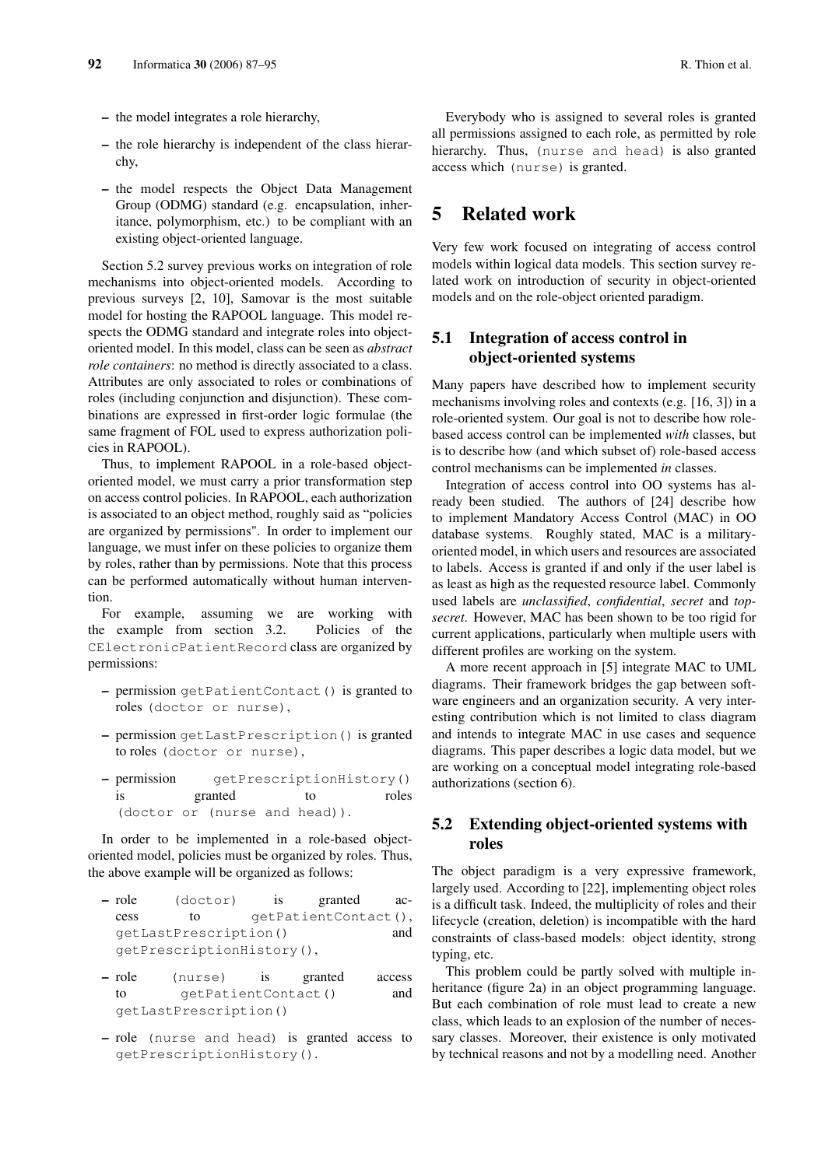- the model integrates a role hierarchy,
- the role hierarchy is independent of the class hierarchy,
- the model respects the Object Data Management Group (ODMG) standard (e.g. encapsulation, inheritance, polymorphism, etc.) to be compliant with an existing object-oriented language.

Section 5.2 survey previous works on integration of role mechanisms into object-oriented models. According to previous surveys [2, 10], Samovar is the most suitable model for hosting the RAPOOL language. This model respects the ODMG standard and integrate roles into objectoriented model. In this model, class can be seen as *abstract role containers*: no method is directly associated to a class. Attributes are only associated to roles or combinations of roles (including conjunction and disjunction). These combinations are expressed in first-order logic formulae (the same fragment of FOL used to express authorization policies in RAPOOL).

Thus, to implement RAPOOL in a role-based objectoriented model, we must carry a prior transformation step on access control policies. In RAPOOL, each authorization is associated to an object method, roughly said as "policies are organized by permissions". In order to implement our language, we must infer on these policies to organize them by roles, rather than by permissions. Note that this process can be performed automatically without human intervention.

For example, assuming we are working with the example from section 3.2. Policies of the CElectronicPatientRecord class are organized by permissions:

- permission getPatientContact() is granted to roles (doctor or nurse),
- permission getLastPrescription() is granted to roles (doctor or nurse),
- permission getPrescriptionHistory() is granted to roles (doctor or (nurse and head)).

In order to be implemented in a role-based objectoriented model, policies must be organized by roles. Thus, the above example will be organized as follows:

- role (doctor) is granted access to qetPatientContact(), getLastPrescription() and getPrescriptionHistory(),
- role (nurse) is granted access to getPatientContact() and getLastPrescription()
- role (nurse and head) is granted access to getPrescriptionHistory().

Everybody who is assigned to several roles is granted all permissions assigned to each role, as permitted by role hierarchy. Thus, (nurse and head) is also granted access which (nurse) is granted.

# 5 Related work

Very few work focused on integrating of access control models within logical data models. This section survey related work on introduction of security in object-oriented models and on the role-object oriented paradigm.

#### 5.1 Integration of access control in object-oriented systems

Many papers have described how to implement security mechanisms involving roles and contexts (e.g. [16, 3]) in a role-oriented system. Our goal is not to describe how rolebased access control can be implemented *with* classes, but is to describe how (and which subset of) role-based access control mechanisms can be implemented *in* classes.

Integration of access control into OO systems has already been studied. The authors of [24] describe how to implement Mandatory Access Control (MAC) in OO database systems. Roughly stated, MAC is a militaryoriented model, in which users and resources are associated to labels. Access is granted if and only if the user label is as least as high as the requested resource label. Commonly used labels are *unclassified*, *confidential*, *secret* and *topsecret*. However, MAC has been shown to be too rigid for current applications, particularly when multiple users with different profiles are working on the system.

A more recent approach in [5] integrate MAC to UML diagrams. Their framework bridges the gap between software engineers and an organization security. A very interesting contribution which is not limited to class diagram and intends to integrate MAC in use cases and sequence diagrams. This paper describes a logic data model, but we are working on a conceptual model integrating role-based authorizations (section 6).

### 5.2 Extending object-oriented systems with roles

The object paradigm is a very expressive framework, largely used. According to [22], implementing object roles is a difficult task. Indeed, the multiplicity of roles and their lifecycle (creation, deletion) is incompatible with the hard constraints of class-based models: object identity, strong typing, etc.

This problem could be partly solved with multiple inheritance (figure 2a) in an object programming language. But each combination of role must lead to create a new class, which leads to an explosion of the number of necessary classes. Moreover, their existence is only motivated by technical reasons and not by a modelling need. Another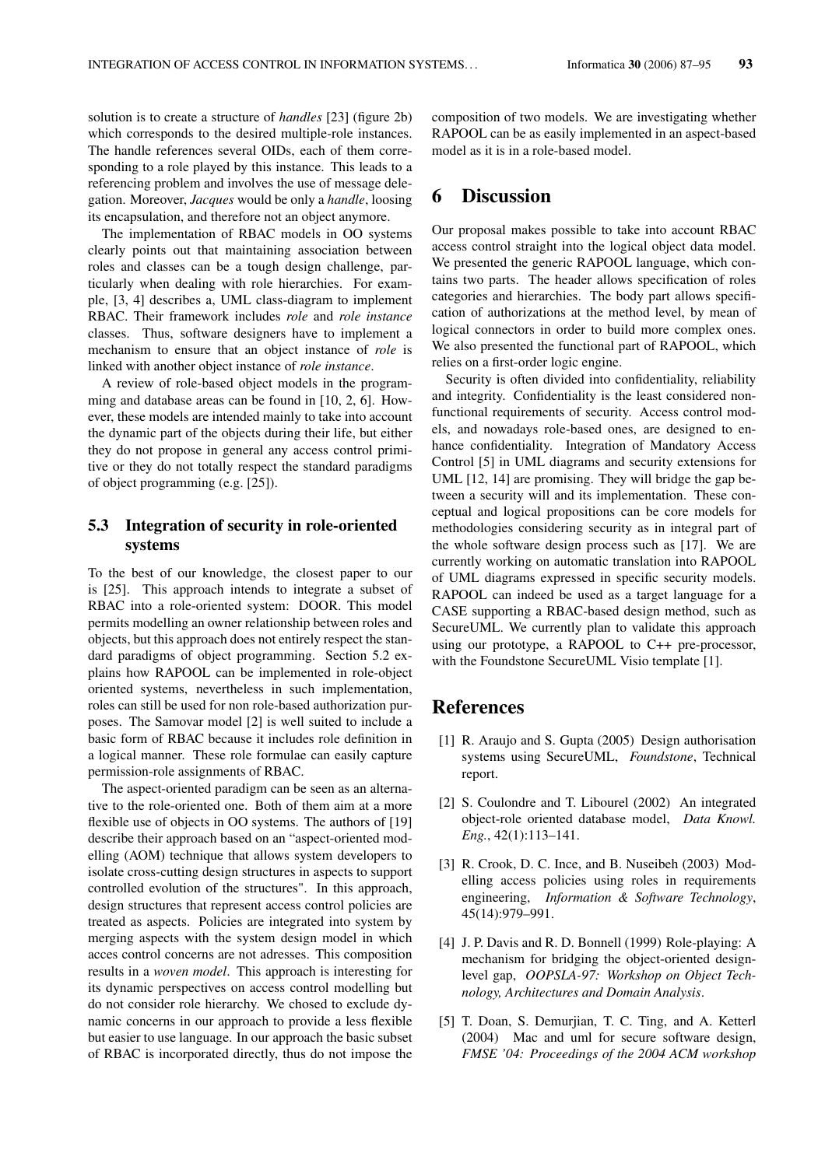solution is to create a structure of *handles* [23] (figure 2b) which corresponds to the desired multiple-role instances. The handle references several OIDs, each of them corresponding to a role played by this instance. This leads to a referencing problem and involves the use of message delegation. Moreover, *Jacques* would be only a *handle*, loosing its encapsulation, and therefore not an object anymore.

The implementation of RBAC models in OO systems clearly points out that maintaining association between roles and classes can be a tough design challenge, particularly when dealing with role hierarchies. For example, [3, 4] describes a, UML class-diagram to implement RBAC. Their framework includes *role* and *role instance* classes. Thus, software designers have to implement a mechanism to ensure that an object instance of *role* is linked with another object instance of *role instance*.

A review of role-based object models in the programming and database areas can be found in [10, 2, 6]. However, these models are intended mainly to take into account the dynamic part of the objects during their life, but either they do not propose in general any access control primitive or they do not totally respect the standard paradigms of object programming (e.g. [25]).

### 5.3 Integration of security in role-oriented systems

To the best of our knowledge, the closest paper to our is [25]. This approach intends to integrate a subset of RBAC into a role-oriented system: DOOR. This model permits modelling an owner relationship between roles and objects, but this approach does not entirely respect the standard paradigms of object programming. Section 5.2 explains how RAPOOL can be implemented in role-object oriented systems, nevertheless in such implementation, roles can still be used for non role-based authorization purposes. The Samovar model [2] is well suited to include a basic form of RBAC because it includes role definition in a logical manner. These role formulae can easily capture permission-role assignments of RBAC.

The aspect-oriented paradigm can be seen as an alternative to the role-oriented one. Both of them aim at a more flexible use of objects in OO systems. The authors of [19] describe their approach based on an "aspect-oriented modelling (AOM) technique that allows system developers to isolate cross-cutting design structures in aspects to support controlled evolution of the structures". In this approach, design structures that represent access control policies are treated as aspects. Policies are integrated into system by merging aspects with the system design model in which acces control concerns are not adresses. This composition results in a *woven model*. This approach is interesting for its dynamic perspectives on access control modelling but do not consider role hierarchy. We chosed to exclude dynamic concerns in our approach to provide a less flexible but easier to use language. In our approach the basic subset of RBAC is incorporated directly, thus do not impose the

composition of two models. We are investigating whether RAPOOL can be as easily implemented in an aspect-based model as it is in a role-based model.

### 6 Discussion

Our proposal makes possible to take into account RBAC access control straight into the logical object data model. We presented the generic RAPOOL language, which contains two parts. The header allows specification of roles categories and hierarchies. The body part allows specification of authorizations at the method level, by mean of logical connectors in order to build more complex ones. We also presented the functional part of RAPOOL, which relies on a first-order logic engine.

Security is often divided into confidentiality, reliability and integrity. Confidentiality is the least considered nonfunctional requirements of security. Access control models, and nowadays role-based ones, are designed to enhance confidentiality. Integration of Mandatory Access Control [5] in UML diagrams and security extensions for UML [12, 14] are promising. They will bridge the gap between a security will and its implementation. These conceptual and logical propositions can be core models for methodologies considering security as in integral part of the whole software design process such as [17]. We are currently working on automatic translation into RAPOOL of UML diagrams expressed in specific security models. RAPOOL can indeed be used as a target language for a CASE supporting a RBAC-based design method, such as SecureUML. We currently plan to validate this approach using our prototype, a RAPOOL to C++ pre-processor, with the Foundstone SecureUML Visio template [1].

## References

- [1] R. Araujo and S. Gupta (2005) Design authorisation systems using SecureUML, *Foundstone*, Technical report.
- [2] S. Coulondre and T. Libourel (2002) An integrated object-role oriented database model, *Data Knowl. Eng.*, 42(1):113–141.
- [3] R. Crook, D. C. Ince, and B. Nuseibeh (2003) Modelling access policies using roles in requirements engineering, *Information & Software Technology*, 45(14):979–991.
- [4] J. P. Davis and R. D. Bonnell (1999) Role-playing: A mechanism for bridging the object-oriented designlevel gap, *OOPSLA-97: Workshop on Object Technology, Architectures and Domain Analysis*.
- [5] T. Doan, S. Demurjian, T. C. Ting, and A. Ketterl (2004) Mac and uml for secure software design, *FMSE '04: Proceedings of the 2004 ACM workshop*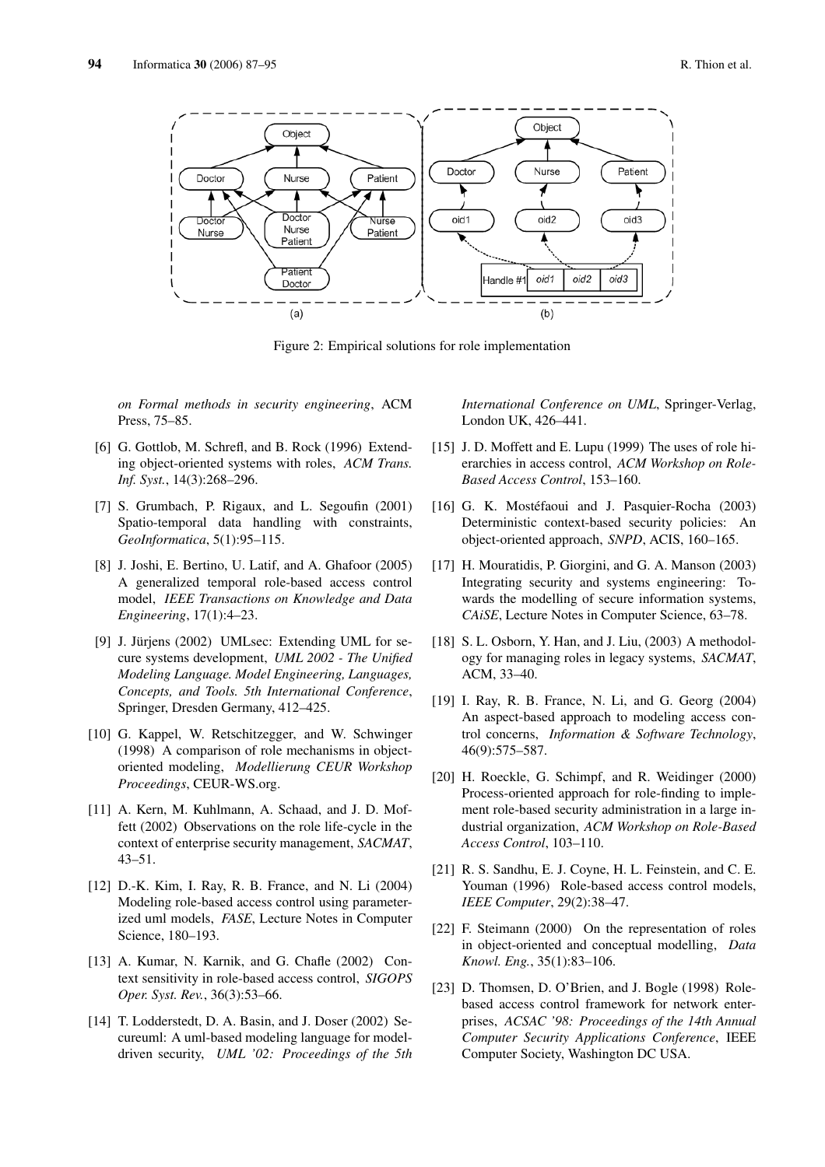

Figure 2: Empirical solutions for role implementation

*on Formal methods in security engineering*, ACM Press, 75–85.

- [6] G. Gottlob, M. Schrefl, and B. Rock (1996) Extending object-oriented systems with roles, *ACM Trans. Inf. Syst.*, 14(3):268–296.
- [7] S. Grumbach, P. Rigaux, and L. Segoufin (2001) Spatio-temporal data handling with constraints, *GeoInformatica*, 5(1):95–115.
- [8] J. Joshi, E. Bertino, U. Latif, and A. Ghafoor (2005) A generalized temporal role-based access control model, *IEEE Transactions on Knowledge and Data Engineering*, 17(1):4–23.
- [9] J. Jürjens (2002) UMLsec: Extending UML for secure systems development, *UML 2002 - The Unified Modeling Language. Model Engineering, Languages, Concepts, and Tools. 5th International Conference*, Springer, Dresden Germany, 412–425.
- [10] G. Kappel, W. Retschitzegger, and W. Schwinger (1998) A comparison of role mechanisms in objectoriented modeling, *Modellierung CEUR Workshop Proceedings*, CEUR-WS.org.
- [11] A. Kern, M. Kuhlmann, A. Schaad, and J. D. Moffett (2002) Observations on the role life-cycle in the context of enterprise security management, *SACMAT*, 43–51.
- [12] D.-K. Kim, I. Ray, R. B. France, and N. Li (2004) Modeling role-based access control using parameterized uml models, *FASE*, Lecture Notes in Computer Science, 180–193.
- [13] A. Kumar, N. Karnik, and G. Chafle (2002) Context sensitivity in role-based access control, *SIGOPS Oper. Syst. Rev.*, 36(3):53–66.
- [14] T. Lodderstedt, D. A. Basin, and J. Doser (2002) Secureuml: A uml-based modeling language for modeldriven security, *UML '02: Proceedings of the 5th*

*International Conference on UML*, Springer-Verlag, London UK, 426–441.

- [15] J. D. Moffett and E. Lupu (1999) The uses of role hierarchies in access control, *ACM Workshop on Role-Based Access Control*, 153–160.
- [16] G. K. Mostéfaoui and J. Pasquier-Rocha (2003) Deterministic context-based security policies: An object-oriented approach, *SNPD*, ACIS, 160–165.
- [17] H. Mouratidis, P. Giorgini, and G. A. Manson (2003) Integrating security and systems engineering: Towards the modelling of secure information systems, *CAiSE*, Lecture Notes in Computer Science, 63–78.
- [18] S. L. Osborn, Y. Han, and J. Liu, (2003) A methodology for managing roles in legacy systems, *SACMAT*, ACM, 33–40.
- [19] I. Ray, R. B. France, N. Li, and G. Georg (2004) An aspect-based approach to modeling access control concerns, *Information & Software Technology*, 46(9):575–587.
- [20] H. Roeckle, G. Schimpf, and R. Weidinger (2000) Process-oriented approach for role-finding to implement role-based security administration in a large industrial organization, *ACM Workshop on Role-Based Access Control*, 103–110.
- [21] R. S. Sandhu, E. J. Coyne, H. L. Feinstein, and C. E. Youman (1996) Role-based access control models, *IEEE Computer*, 29(2):38–47.
- [22] F. Steimann (2000) On the representation of roles in object-oriented and conceptual modelling, *Data Knowl. Eng.*, 35(1):83–106.
- [23] D. Thomsen, D. O'Brien, and J. Bogle (1998) Rolebased access control framework for network enterprises, *ACSAC '98: Proceedings of the 14th Annual Computer Security Applications Conference*, IEEE Computer Society, Washington DC USA.